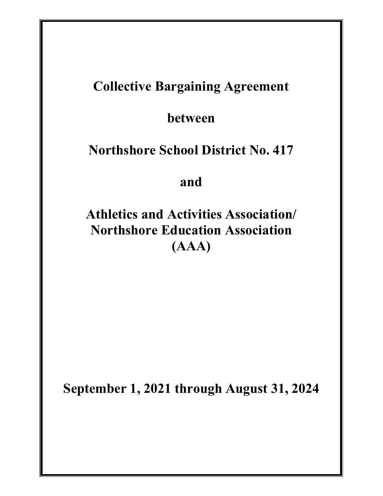# Collective Bargaining Agreement

between

# Northshore School District No. 417

and

Athletics and Activities Association/ Northshore Education Association (AAA)

September 1, 2021 through August 31, 2024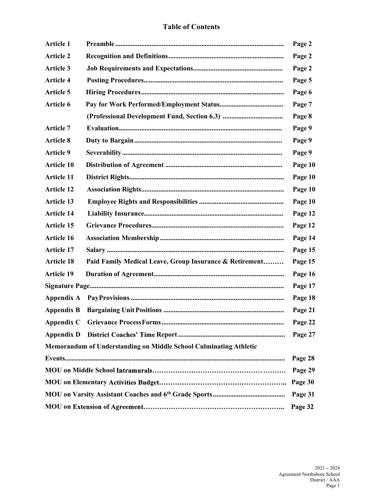#### Table of Contents

| Article 1         |                                                                   | Page 2  |
|-------------------|-------------------------------------------------------------------|---------|
| <b>Article 2</b>  |                                                                   | Page 2  |
| Article 3         |                                                                   | Page 2  |
| <b>Article 4</b>  |                                                                   | Page 5  |
| Article 5         |                                                                   | Page 6  |
| Article 6         |                                                                   | Page 7  |
|                   |                                                                   | Page 8  |
| <b>Article 7</b>  |                                                                   | Page 9  |
| <b>Article 8</b>  |                                                                   | Page 9  |
| Article 9         |                                                                   | Page 9  |
| Article 10        |                                                                   | Page 10 |
| Article 11        |                                                                   | Page 10 |
| <b>Article 12</b> |                                                                   | Page 10 |
| <b>Article 13</b> |                                                                   | Page 10 |
| <b>Article 14</b> |                                                                   | Page 12 |
| Article 15        |                                                                   | Page 12 |
| Article 16        |                                                                   | Page 14 |
| Article 17        |                                                                   | Page 15 |
| <b>Article 18</b> | Paid Family Medical Leave, Group Insurance & Retirement           | Page 15 |
| <b>Article 19</b> |                                                                   | Page 16 |
|                   |                                                                   | Page 17 |
|                   |                                                                   | Page 18 |
|                   |                                                                   | Page 21 |
|                   |                                                                   | Page 22 |
|                   |                                                                   | Page 27 |
|                   | Memorandum of Understanding on Middle School Culminating Athletic |         |
|                   |                                                                   | Page 28 |
|                   |                                                                   | Page 29 |
|                   |                                                                   | Page 30 |
|                   |                                                                   | Page 31 |
|                   |                                                                   | Page 32 |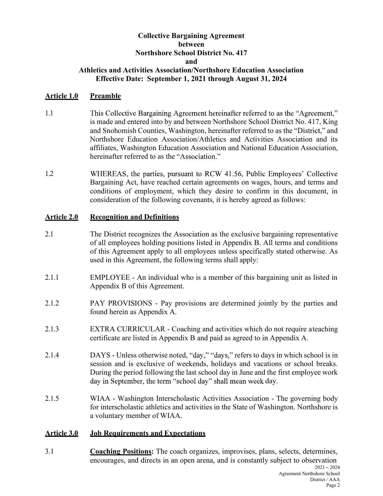#### Collective Bargaining Agreement between Northshore School District No. 417 and Athletics and Activities Association/Northshore Education Association

#### Effective Date: September 1, 2021 through August 31, 2024

#### Article 1.0 Preamble

- 1.1 This Collective Bargaining Agreement hereinafter referred to as the "Agreement," is made and entered into by and between Northshore School District No. 417, King and Snohomish Counties, Washington, hereinafter referred to as the "District," and Northshore Education Association/Athletics and Activities Association and its affiliates, Washington Education Association and National Education Association, hereinafter referred to as the "Association."
- 1.2 WHEREAS, the parties, pursuant to RCW 41.56, Public Employees' Collective Bargaining Act, have reached certain agreements on wages, hours, and terms and conditions of employment, which they desire to confirm in this document, in consideration of the following covenants, it is hereby agreed as follows:

#### Article 2.0 Recognition and Definitions

- 2.1 The District recognizes the Association as the exclusive bargaining representative of all employees holding positions listed in Appendix B. All terms and conditions of this Agreement apply to all employees unless specifically stated otherwise. As used in this Agreement, the following terms shall apply:
- 2.1.1 EMPLOYEE An individual who is a member of this bargaining unit as listed in Appendix B of this Agreement.
- 2.1.2 PAY PROVISIONS Pay provisions are determined jointly by the parties and found herein as Appendix A.
- 2.1.3 EXTRA CURRICULAR Coaching and activities which do not require a teaching certificate are listed in Appendix B and paid as agreed to in Appendix A.
- 2.1.4 DAYS Unless otherwise noted, "day," "days," refers to days in which school is in session and is exclusive of weekends, holidays and vacations or school breaks. During the period following the last school day in June and the first employee work day in September, the term "school day" shall mean week day.
- 2.1.5 WIAA Washington Interscholastic Activities Association The governing body for interscholastic athletics and activities in the State of Washington. Northshore is a voluntary member of WIAA.

#### Article 3.0 Job Requirements and Expectations

3.1 Coaching Positions: The coach organizes, improvises, plans, selects, determines, encourages, and directs in an open arena, and is constantly subject to observation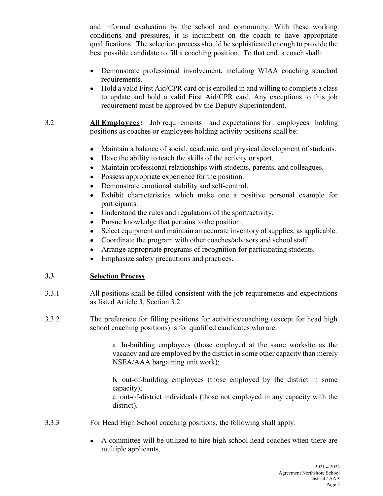and informal evaluation by the school and community. With these working conditions and pressures, it is incumbent on the coach to have appropriate example informal evaluation by the school and community. With these working<br>conditions and pressures, it is incumbent on the coach to have appropriate<br>qualifications. The selection process should be sophisticated enough to best possible candidate to fill a coaching position. To that end, a coach shall:

- Demonstrate professional involvement, including WIAA coaching standard requirements.
- Hold a valid First Aid/CPR card or is enrolled in and willing to complete a class to update and hold a valid First Aid/CPR card. Any exceptions to this job requirement must be approved by the Deputy Superintendent.
- 3.2 All Employees: Job requirements and expectations for employees holding positions as coaches or employees holding activity positions shall be:
	- Maintain a balance of social, academic, and physical development of students.  $\bullet$
	- Have the ability to teach the skills of the activity or sport.
	- Maintain professional relationships with students, parents, and colleagues.  $\bullet$
	- Possess appropriate experience for the position.  $\bullet$
	- Demonstrate emotional stability and self-control.  $\bullet$
	- Exhibit characteristics which make one a positive personal example for  $\bullet$ participants.
	- Understand the rules and regulations of the sport/activity.
	- Pursue knowledge that pertains to the position.  $\bullet$
	- $\bullet$ Select equipment and maintain an accurate inventory of supplies, as applicable.
	- Coordinate the program with other coaches/advisors and school staff.  $\bullet$
	- Arrange appropriate programs of recognition for participating students.  $\bullet$
	- Emphasize safety precautions and practices.  $\bullet$

# 3.3 Selection Process

- 3.3.1 All positions shall be filled consistent with the job requirements and expectations as listed Article 3, Section 3.2.
- 3.3.2 The preference for filling positions for activities/coaching (except for head high school coaching positions) is for qualified candidates who are:

a. In-building employees (those employed at the same worksite as the vacancy and are employed by the district in some other capacity than merely NSEA/AAA bargaining unit work);

b. out-of-building employees (those employed by the district in some capacity);

c. out-of-district individuals (those not employed in any capacity with the district).

- 3.3.3 For Head High School coaching positions, the following shall apply:
	- A committee will be utilized to hire high school head coaches when there are multiple applicants.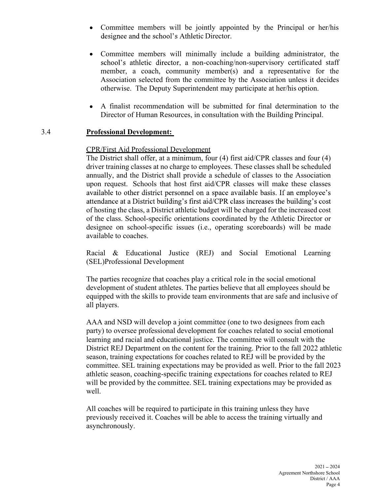- Committee members will be jointly appointed by the Principal or her/his  $\bullet$
- or<br>
Summary appointed by the Principal or her/his<br>
c Director.<br>
c Director.<br>
conting include a building administrator, the<br>
n-coaching/non-supervisory certificated staff<br>
member(s) and a representative for the Committee members will minimally include a building administrator, the  $\bullet$ school's athletic director, a non-coaching/non-supervisory certificated staff member, a coach, community member(s) and a representative for the Association selected from the committee by the Association unless it decides otherwise. The Deputy Superintendent may participate at her/his option.
- A finalist recommendation will be submitted for final determination to the  $\bullet$ Director of Human Resources, in consultation with the Building Principal.

#### 3.4 Professional Development:

#### CPR/First Aid Professional Development

The District shall offer, at a minimum, four (4) first aid/CPR classes and four (4) driver training classes at no charge to employees. These classes shall be scheduled annually, and the District shall provide a schedule of classes to the Association upon request. Schools that host first aid/CPR classes will make these classes available to other district personnel on a space available basis. If an employee's attendance at a District building's first aid/CPR class increases the building's cost of hosting the class, a District athletic budget will be charged for the increased cost of the class. School-specific orientations coordinated by the Athletic Director or designee on school-specific issues (i.e., operating scoreboards) will be made available to coaches.

Racial & Educational Justice (REJ) and Social Emotional Learning (SEL)Professional Development

The parties recognize that coaches play a critical role in the social emotional development of student athletes. The parties believe that all employees should be equipped with the skills to provide team environments that are safe and inclusive of all players.

AAA and NSD will develop a joint committee (one to two designees from each party) to oversee professional development for coaches related to social emotional learning and racial and educational justice. The committee will consult with the District REJ Department on the content for the training. Prior to the fall 2022 athletic season, training expectations for coaches related to REJ will be provided by the committee. SEL training expectations may be provided as well. Prior to the fall 2023 athletic season, coaching-specific training expectations for coaches related to REJ will be provided by the committee. SEL training expectations may be provided as well.

All coaches will be required to participate in this training unless they have previously received it. Coaches will be able to access the training virtually and asynchronously.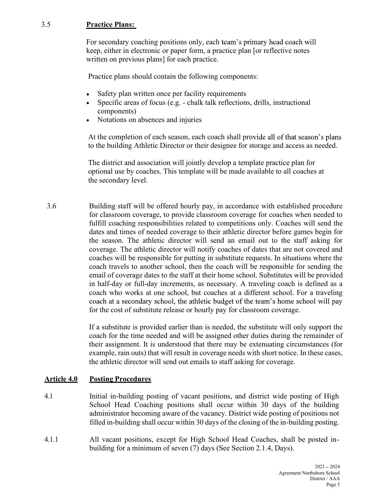#### 3.5 Practice Plans:

For secondary coaching positions only, each team's primary head coach will keep, either in electronic or paper form, a practice plan [or reflective notes written on previous plans] for each practice.

Practice plans should contain the following components:

- Safety plan written once per facility requirements
- Specific areas of focus (e.g. chalk talk reflections, drills, instructional  $\bullet$ components)
- Notations on absences and injuries

At the completion of each season, each coach shall provide all of that season's plans to the building Athletic Director or their designee for storage and access as needed.

The district and association will jointly develop a template practice plan for optional use by coaches. This template will be made available to all coaches at the secondary level.

3.6 Building staff will be offered hourly pay, in accordance with established procedure for classroom coverage, to provide classroom coverage for coaches when needed to fulfill coaching responsibilities related to competitions only. Coaches will send the dates and times of needed coverage to their athletic director before games begin for the season. The athletic director will send an email out to the staff asking for coverage. The athletic director will notify coaches of dates that are not covered and coaches will be responsible for putting in substitute requests. In situations where the coach travels to another school, then the coach will be responsible for sending the email of coverage dates to the staff at their home school. Substitutes will be provided in half-day or full-day increments, as necessary. A traveling coach is defined as a coach who works at one school, but coaches at a different school. For a traveling coach at a secondary school, the athletic budget of the team's home school will pay for the cost of substitute release or hourly pay for classroom coverage.

> If a substitute is provided earlier than is needed, the substitute will only support the coach for the time needed and will be assigned other duties during the remainder of their assignment. It is understood that there may be extenuating circumstances (for example, rain outs) that will result in coverage needs with short notice. In these cases, the athletic director will send out emails to staff asking for coverage.

# Article 4.0 Posting Procedures

- 4.1 Initial in-building posting of vacant positions, and district wide posting of High School Head Coaching positions shall occur within 30 days of the building administrator becoming aware of the vacancy. District wide posting of positions not filled in-building shall occur within 30 days of the closing of the in-building posting.
- 4.1.1 All vacant positions, except for High School Head Coaches, shall be posted inbuilding for a minimum of seven (7) days (See Section 2.1.4, Days).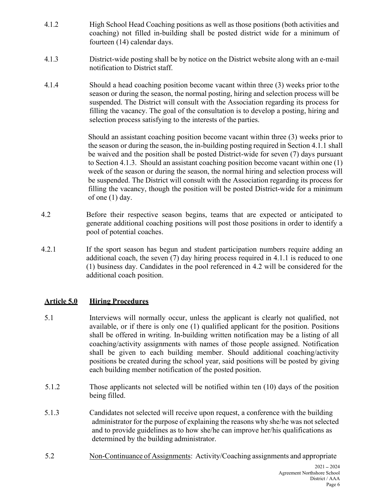- 4.1.2 High School Head Coaching positions as well as those positions (both activities and coaching) not filled in-building shall be posted district wide for a minimum of fourteen (14) calendar days.
- 4.1.3 District-wide posting shall be by notice on the District website along with an e-mail notification to District staff.
- 4.1.4 Should a head coaching position become vacant within three (3) weeks prior to the season or during the season, the normal posting, hiring and selection process will be suspended. The District will consult with the Association regarding its process for filling the vacancy. The goal of the consultation is to develop a posting, hiring and selection process satisfying to the interests of the parties.

Should an assistant coaching position become vacant within three (3) weeks prior to the season or during the season, the in-building posting required in Section 4.1.1 shall be waived and the position shall be posted District-wide for seven (7) days pursuant to Section 4.1.3. Should an assistant coaching position become vacant within one (1) week of the season or during the season, the normal hiring and selection process will be suspended. The District will consult with the Association regarding its process for filling the vacancy, though the position will be posted District-wide for a minimum of one (1) day.

- 4.2 Before their respective season begins, teams that are expected or anticipated to generate additional coaching positions will post those positions in order to identify a pool of potential coaches.
- 4.2.1 If the sport season has begun and student participation numbers require adding an additional coach, the seven (7) day hiring process required in 4.1.1 is reduced to one (1) business day. Candidates in the pool referenced in 4.2 will be considered for the additional coach position.

# Article 5.0 Hiring Procedures

- 5.1 Interviews will normally occur, unless the applicant is clearly not qualified, not available, or if there is only one (1) qualified applicant for the position. Positions shall be offered in writing. In-building written notification may be a listing of all coaching/activity assignments with names of those people assigned. Notification shall be given to each building member. Should additional coaching/activity positions be created during the school year, said positions will be posted by giving each building member notification of the posted position.
- 5.1.2 Those applicants not selected will be notified within ten (10) days of the position being filled.
- 5.1.3 Candidates not selected will receive upon request, a conference with the building administrator for the purpose of explaining the reasons why she/he was not selected and to provide guidelines as to how she/he can improve her/his qualifications as determined by the building administrator.
- 5.2 Non-Continuance of Assignments: Activity/Coaching assignments and appropriate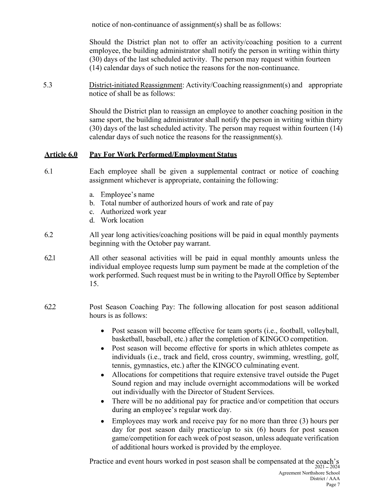notice of non-continuance of assignment(s) shall be as follows:<br>Should the District plan not to offer an activity/coaching position to a current<br>employee, the building administrator shall notify the person in writing withi Should the District plan not to offer an activity/coaching position to a current employee, the building administrator shall notify the person in writing within thirty (30) days of the last scheduled activity. The person may request within fourteen (14) calendar days of such notice the reasons for the non-continuance.

5.3 District-initiated Reassignment: Activity/Coaching reassignment(s) and appropriate notice of shall be as follows:

> Should the District plan to reassign an employee to another coaching position in the same sport, the building administrator shall notify the person in writing within thirty (30) days of the last scheduled activity. The person may request within fourteen (14) calendar days of such notice the reasons for the reassignment(s).

# Article 6.0 Pay For Work Performed/Employment Status

- 6.1 Each employee shall be given a supplemental contract or notice of coaching assignment whichever is appropriate, containing the following:
	- a. Employee's name
	- b. Total number of authorized hours of work and rate of pay
	- c. Authorized work year
	- d. Work location
- 6.2 All year long activities/coaching positions will be paid in equal monthly payments beginning with the October pay warrant.
- 6.2.1 All other seasonal activities will be paid in equal monthly amounts unless the individual employee requests lump sum payment be made at the completion of the work performed. Such request must be in writing to the Payroll Office by September 15.
- 6.2.2 Post Season Coaching Pay: The following allocation for post season additional hours is as follows:
	- Post season will become effective for team sports (i.e., football, volleyball,  $\bullet$ basketball, baseball, etc.) after the completion of KINGCO competition.
	- Post season will become effective for sports in which athletes compete as  $\bullet$ individuals (i.e., track and field, cross country, swimming, wrestling, golf, tennis, gymnastics, etc.) after the KINGCO culminating event.
	- Allocations for competitions that require extensive travel outside the Puget  $\bullet$ Sound region and may include overnight accommodations will be worked out individually with the Director of Student Services.
	- There will be no additional pay for practice and/or competition that occurs  $\bullet$ during an employee's regular work day.
	- Employees may work and receive pay for no more than three (3) hours per  $\bullet$ day for post season daily practice/up to six (6) hours for post season game/competition for each week of post season, unless adequate verification of additional hours worked is provided by the employee.

Practice and event hours worked in post season shall be compensated at the coach's  $\frac{2021-2024}{2021-2024}$  Agreement Northshore School District / AAA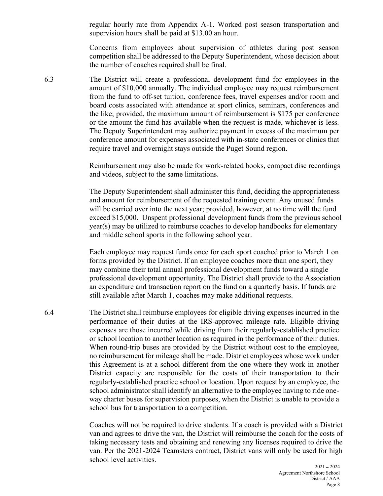regular hourly rate from Appendix A-1. Worked post season transportation and supervision hours shall be paid at \$13.00 an hour.

Concerns from employees about supervision of athletes during post season competition shall be addressed to the Deputy Superintendent, whose decision about the number of coaches required shall be final.

6.3 The District will create a professional development fund for employees in the amount of \$10,000 annually. The individual employee may request reimbursement from the fund to off-set tuition, conference fees, travel expenses and/or room and board costs associated with attendance at sport clinics, seminars, conferences and the like; provided, the maximum amount of reimbursement is \$175 per conference or the amount the fund has available when the request is made, whichever is less. The Deputy Superintendent may authorize payment in excess of the maximum per conference amount for expenses associated with in-state conferences or clinics that require travel and overnight stays outside the Puget Sound region.

> Reimbursement may also be made for work-related books, compact disc recordings and videos, subject to the same limitations.

> The Deputy Superintendent shall administer this fund, deciding the appropriateness and amount for reimbursement of the requested training event. Any unused funds will be carried over into the next year; provided, however, at no time will the fund exceed \$15,000. Unspent professional development funds from the previous school year(s) may be utilized to reimburse coaches to develop handbooks for elementary and middle school sports in the following school year.

> Each employee may request funds once for each sport coached prior to March 1 on forms provided by the District. If an employee coaches more than one sport, they may combine their total annual professional development funds toward a single professional development opportunity. The District shall provide to the Association an expenditure and transaction report on the fund on a quarterly basis. If funds are still available after March 1, coaches may make additional requests.

6.4 The District shall reimburse employees for eligible driving expenses incurred in the performance of their duties at the IRS-approved mileage rate. Eligible driving expenses are those incurred while driving from their regularly-established practice or school location to another location as required in the performance of their duties. When round-trip buses are provided by the District without cost to the employee, no reimbursement for mileage shall be made. District employees whose work under this Agreement is at a school different from the one where they work in another District capacity are responsible for the costs of their transportation to their regularly-established practice school or location. Upon request by an employee, the school administrator shall identify an alternative to the employee having to ride oneway charter buses for supervision purposes, when the District is unable to provide a school bus for transportation to a competition.

> Coaches will not be required to drive students. If a coach is provided with a District van and agrees to drive the van, the District will reimburse the coach for the costs of taking necessary tests and obtaining and renewing any licenses required to drive the van. Per the 2021-2024 Teamsters contract, District vans will only be used for high school level activities.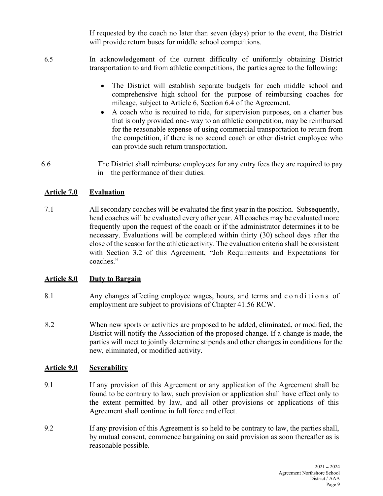If requested by the coach no later than seven (days) prior to the event, the District will provide return buses for middle school competitions.

- 6.5 In acknowledgement of the current difficulty of uniformly obtaining District transportation to and from athletic competitions, the parties agree to the following:
	- $\bullet$ The District will establish separate budgets for each middle school and comprehensive high school for the purpose of reimbursing coaches for mileage, subject to Article 6, Section 6.4 of the Agreement.
	- A coach who is required to ride, for supervision purposes, on a charter bus that is only provided one- way to an athletic competition, may be reimbursed for the reasonable expense of using commercial transportation to return from the competition, if there is no second coach or other district employee who can provide such return transportation.
- 6.6 The District shall reimburse employees for any entry fees they are required to pay in the performance of their duties.

# Article 7.0 Evaluation

7.1 All secondary coaches will be evaluated the first year in the position. Subsequently, head coaches will be evaluated every other year. All coaches may be evaluated more frequently upon the request of the coach or if the administrator determines it to be necessary. Evaluations will be completed within thirty (30) school days after the close of the season for the athletic activity. The evaluation criteria shall be consistent with Section 3.2 of this Agreement, "Job Requirements and Expectations for the competition, if there is no second coach or other district employee who<br>can provide such rctum transportation.<br>
1.6<br>
1.1 All secondary coaches will be evaluated the first year in the position. Subsequently,<br>
head coach

# Article 8.0 Duty to Bargain

- employment are subject to provisions of Chapter 41.56 RCW.
- 8.2 When new sports or activities are proposed to be added, eliminated, or modified, the District will notify the Association of the proposed change. If a change is made, the parties will meet to jointly determine stipends and other changes in conditions for the new, eliminated, or modified activity.

# Article 9.0 Severability

- 9.1 If any provision of this Agreement or any application of the Agreement shall be found to be contrary to law, such provision or application shall have effect only to the extent permitted by law, and all other provisions or applications of this Agreement shall continue in full force and effect.
- 9.2 If any provision of this Agreement is so held to be contrary to law, the parties shall, by mutual consent, commence bargaining on said provision as soon thereafter as is reasonable possible.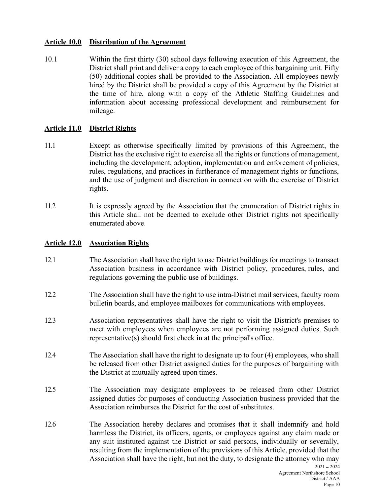#### Article 10.0 Distribution of the Agreement

10.1 Within the first thirty (30) school days following execution of this Agreement, the District shall print and deliver a copy to each employee of this bargaining unit. Fifty (50) additional copies shall be provided to the Association. All employees newly hired by the District shall be provided a copy of this Agreement by the District at the time of hire, along with a copy of the Athletic Staffing Guidelines and information about accessing professional development and reimbursement for mileage.

# Article 11.0 District Rights

- 11.1 Except as otherwise specifically limited by provisions of this Agreement, the District has the exclusive right to exercise all the rights or functions of management, including the development, adoption, implementation and enforcement of policies, rules, regulations, and practices in furtherance of management rights or functions, and the use of judgment and discretion in connection with the exercise of District rights.
- 11.2 It is expressly agreed by the Association that the enumeration of District rights in this Article shall not be deemed to exclude other District rights not specifically enumerated above.

# Article 12.0 Association Rights

- 12.1 The Association shall have the right to use District buildings for meetings to transact Association business in accordance with District policy, procedures, rules, and regulations governing the public use of buildings.
- 12.2 The Association shall have the right to use intra-District mail services, faculty room bulletin boards, and employee mailboxes for communications with employees.
- 12.3 Association representatives shall have the right to visit the District's premises to meet with employees when employees are not performing assigned duties. Such representative(s) should first check in at the principal's office.
- 12.4 The Association shall have the right to designate up to four (4) employees, who shall be released from other District assigned duties for the purposes of bargaining with the District at mutually agreed upon times.
- 12.5 The Association may designate employees to be released from other District assigned duties for purposes of conducting Association business provided that the Association reimburses the District for the cost of substitutes.
- 12.6 The Association hereby declares and promises that it shall indemnify and hold harmless the District, its officers, agents, or employees against any claim made or any suit instituted against the District or said persons, individually or severally, resulting from the implementation of the provisions of this Article, provided that the Association shall have the right, but not the duty, to designate the attorney who may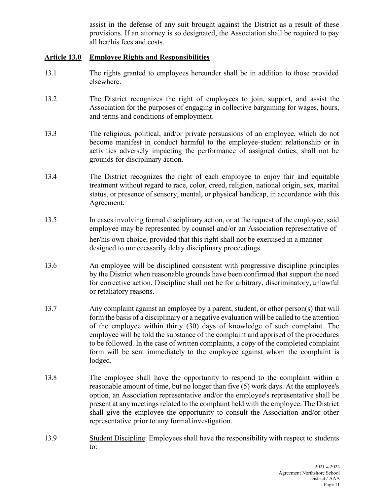assist in the defense of any suit brought against the District as a result of these<br>provisions. If an attorney is so designated, the Association shall be required to pay<br>all her/his fees and costs.<br>**Employee Rights and Res** provisions. If an attorney is so designated, the Association shall be required to pay all her/his fees and costs.

#### Article 13.0 Employee Rights and Responsibilities

- 13.1 The rights granted to employees hereunder shall be in addition to those provided elsewhere.
- 13.2 The District recognizes the right of employees to join, support, and assist the Association for the purposes of engaging in collective bargaining for wages, hours, and terms and conditions of employment.
- 13.3 The religious, political, and/or private persuasions of an employee, which do not become manifest in conduct harmful to the employee-student relationship or in activities adversely impacting the performance of assigned duties, shall not be grounds for disciplinary action.
- 13.4 The District recognizes the right of each employee to enjoy fair and equitable treatment without regard to race, color, creed, religion, national origin, sex, marital status, or presence of sensory, mental, or physical handicap, in accordance with this Agreement.
- 13.5 In cases involving formal disciplinary action, or at the request of the employee, said employee may be represented by counsel and/or an Association representative of her/his own choice, provided that this right shall not be exercised in a manner designed to unnecessarily delay disciplinary proceedings.
- 13.6 An employee will be disciplined consistent with progressive discipline principles by the District when reasonable grounds have been confirmed that support the need for corrective action. Discipline shall not be for arbitrary, discriminatory, unlawful or retaliatory reasons.
- 13.7 Any complaint against an employee by a parent, student, or other person(s) that will form the basis of a disciplinary or a negative evaluation will be called to the attention of the employee within thirty (30) days of knowledge of such complaint. The employee will be told the substance of the complaint and apprised of the procedures to be followed. In the case of written complaints, a copy of the completed complaint form will be sent immediately to the employee against whom the complaint is lodged.
- 13.8 The employee shall have the opportunity to respond to the complaint within a reasonable amount of time, but no longer than five (5) work days. At the employee's option, an Association representative and/or the employee's representative shall be present at any meetings related to the complaint held with the employee. The District shall give the employee the opportunity to consult the Association and/or other representative prior to any formal investigation.
- 13.9 Student Discipline: Employees shall have the responsibility with respect to students to: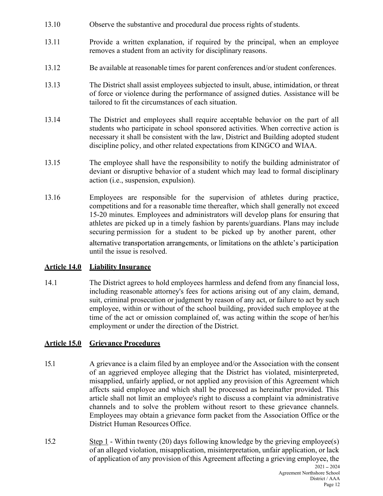- 
- 13.10 Observe the substantive and procedural due process rights of students.<br>13.11 Provide a written explanation, if required by the principal, when an employee removes a student from an activity for disciplinary reasons. 13.11 Provide a written explanation, if required by the principal, when an employee removes a student from an activity for disciplinary reasons.
- 13.12 Be available at reasonable times for parent conferences and/or student conferences.
- 13.13 The District shall assist employees subjected to insult, abuse, intimidation, or threat of force or violence during the performance of assigned duties. Assistance will be tailored to fit the circumstances of each situation.
- 13.14 The District and employees shall require acceptable behavior on the part of all students who participate in school sponsored activities. When corrective action is necessary it shall be consistent with the law, District and Building adopted student discipline policy, and other related expectations from KINGCO and WIAA.
- 13.15 The employee shall have the responsibility to notify the building administrator of deviant or disruptive behavior of a student which may lead to formal disciplinary action (i.e., suspension, expulsion).
- 13.16 Employees are responsible for the supervision of athletes during practice, competitions and for a reasonable time thereafter, which shall generally not exceed 15-20 minutes. Employees and administrators will develop plans for ensuring that athletes are picked up in a timely fashion by parents/guardians. Plans may include securing permission for a student to be picked up by another parent, other alternative transportation arrangements, or limitations on the athlete's participation until the issue is resolved.

# Article 14.0 Liability Insurance

14.1 The District agrees to hold employees harmless and defend from any financial loss, including reasonable attorney's fees for actions arising out of any claim, demand, suit, criminal prosecution or judgment by reason of any act, or failure to act by such employee, within or without of the school building, provided such employee at the time of the act or omission complained of, was acting within the scope of her/his employment or under the direction of the District.

# Article 15.0 Grievance Procedures

- 15.1 A grievance is a claim filed by an employee and/or the Association with the consent of an aggrieved employee alleging that the District has violated, misinterpreted, misapplied, unfairly applied, or not applied any provision of this Agreement which affects said employee and which shall be processed as hereinafter provided. This article shall not limit an employee's right to discuss a complaint via administrative channels and to solve the problem without resort to these grievance channels. Employees may obtain a grievance form packet from the Association Office or the District Human Resources Office.
- 15.2 Step 1 Within twenty (20) days following knowledge by the grieving employee(s) of an alleged violation, misapplication, misinterpretation, unfair application, or lack of application of any provision of this Agreement affecting a grieving employee, the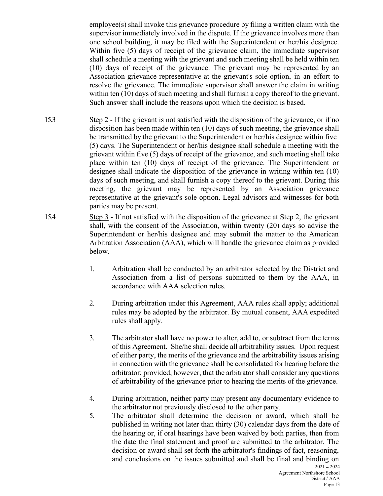employee(s) shall invoke this grievance procedure by filing a written claim with the supervisor immediately involved in the dispute. If the grievance involves more than one school building, it may be filed with the Superin supervisor immediately involved in the dispute. If the grievance involves more than one school building, it may be filed with the Superintendent or her/his designee. Within five (5) days of receipt of the grievance claim, the immediate supervisor shall schedule a meeting with the grievant and such meeting shall be held within ten (10) days of receipt of the grievance. The grievant may be represented by an Association grievance representative at the grievant's sole option, in an effort to resolve the grievance. The immediate supervisor shall answer the claim in writing within ten (10) days of such meeting and shall furnish a copy thereof to the grievant. Such answer shall include the reasons upon which the decision is based.

- 15.3 Step 2 If the grievant is not satisfied with the disposition of the grievance, or if no disposition has been made within ten (10) days of such meeting, the grievance shall be transmitted by the grievant to the Superintendent or her/his designee within five (5) days. The Superintendent or her/his designee shall schedule a meeting with the grievant within five (5) days of receipt of the grievance, and such meeting shall take place within ten (10) days of receipt of the grievance. The Superintendent or designee shall indicate the disposition of the grievance in writing within ten (10) days of such meeting, and shall furnish a copy thereof to the grievant. During this meeting, the grievant may be represented by an Association grievance representative at the grievant's sole option. Legal advisors and witnesses for both parties may be present.
- 15.4 Step 3 If not satisfied with the disposition of the grievance at Step 2, the grievant shall, with the consent of the Association, within twenty (20) days so advise the Superintendent or her/his designee and may submit the matter to the American Arbitration Association (AAA), which will handle the grievance claim as provided below.
	- 1. Arbitration shall be conducted by an arbitrator selected by the District and Association from a list of persons submitted to them by the AAA, in accordance with AAA selection rules.
	- 2. During arbitration under this Agreement, AAA rules shall apply; additional rules may be adopted by the arbitrator. By mutual consent, AAA expedited rules shall apply.
	- 3. The arbitrator shall have no power to alter, add to, or subtract from the terms of this Agreement. She/he shall decide all arbitrability issues. Upon request of either party, the merits of the grievance and the arbitrability issues arising in connection with the grievance shall be consolidated for hearing before the arbitrator; provided, however, that the arbitrator shall consider any questions of arbitrability of the grievance prior to hearing the merits of the grievance.
	- 4. During arbitration, neither party may present any documentary evidence to the arbitrator not previously disclosed to the other party.
	- 5. The arbitrator shall determine the decision or award, which shall be published in writing not later than thirty (30) calendar days from the date of the hearing or, if oral hearings have been waived by both parties, then from the date the final statement and proof are submitted to the arbitrator. The decision or award shall set forth the arbitrator's findings of fact, reasoning, and conclusions on the issues submitted and shall be final and binding on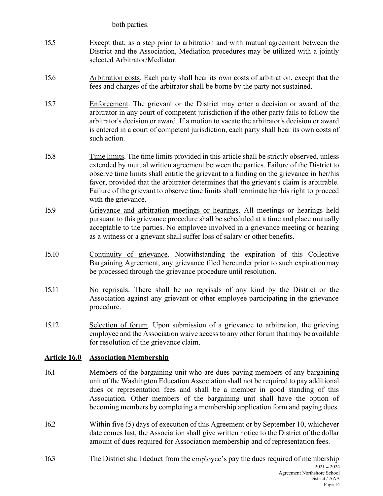- both parties.<br>that, as a step prior to arbitration and with mutual agreement between t<br>and the Association, Mediation procedures may be utilized with a joint<br>d Arbitrator/Mediator. 15.5 Except that, as a step prior to arbitration and with mutual agreement between the<br>District and the Association, Mediation procedures may be utilized with a jointly<br>selected Arbitrator/Mediator.<br>15.6 Arbitration costs. District and the Association, Mediation procedures may be utilized with a jointly selected Arbitrator/Mediator.
- 15.6 Arbitration costs. Each party shall bear its own costs of arbitration, except that the fees and charges of the arbitrator shall be borne by the party not sustained.
- 15.7 Enforcement. The grievant or the District may enter a decision or award of the arbitrator in any court of competent jurisdiction if the other party fails to follow the arbitrator's decision or award. If a motion to vacate the arbitrator's decision or award is entered in a court of competent jurisdiction, each party shall bear its own costs of such action.
- 15.8 Time limits. The time limits provided in this article shall be strictly observed, unless extended by mutual written agreement between the parties. Failure of the District to observe time limits shall entitle the grievant to a finding on the grievance in her/his favor, provided that the arbitrator determines that the grievant's claim is arbitrable. Failure of the grievant to observe time limits shall terminate her/his right to proceed with the grievance.
- 15.9 Grievance and arbitration meetings or hearings. All meetings or hearings held pursuant to this grievance procedure shall be scheduled at a time and place mutually acceptable to the parties. No employee involved in a grievance meeting or hearing as a witness or a grievant shall suffer loss of salary or other benefits.
- 15.10 Continuity of grievance. Notwithstanding the expiration of this Collective Bargaining Agreement, any grievance filed hereunder prior to such expiration may be processed through the grievance procedure until resolution.
- 15.11 No reprisals. There shall be no reprisals of any kind by the District or the Association against any grievant or other employee participating in the grievance procedure.
- 15.12 Selection of forum. Upon submission of a grievance to arbitration, the grieving employee and the Association waive access to any other forum that may be available for resolution of the grievance claim.

# Article 16.0 Association Membership

- 16.1 Members of the bargaining unit who are dues-paying members of any bargaining unit of the Washington Education Association shall not be required to pay additional dues or representation fees and shall be a member in good standing of this Association. Other members of the bargaining unit shall have the option of becoming members by completing a membership application form and paying dues.
- 16.2 Within five (5) days of execution of this Agreement or by September 10, whichever date comes last, the Association shall give written notice to the District of the dollar amount of dues required for Association membership and of representation fees.
- $2021 2024$ 16.3 The District shall deduct from the employee's pay the dues required of membership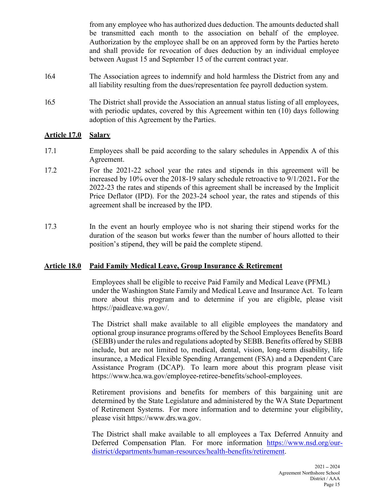from any employee who has authorized dues deduction. The amounts deducted shall be transmitted each month to the association on behalf of the employee. Authorization by the employee shall be on an approved form by the Parties hereto and shall provide for revocation of dues deduction by an individual employee between August 15 and September 15 of the current contract year.

- 16.4 The Association agrees to indemnify and hold harmless the District from any and all liability resulting from the dues/representation fee payroll deduction system.
- 16.5 The District shall provide the Association an annual status listing of all employees, with periodic updates, covered by this Agreement within ten (10) days following adoption of this Agreement by the Parties.

#### Article 17.0 Salary

- 17.1 Employees shall be paid according to the salary schedules in Appendix A of this Agreement.
- 17.2 For the 2021-22 school year the rates and stipends in this agreement will be increased by 10% over the 2018-19 salary schedule retroactive to 9/1/2021. For the 2022-23 the rates and stipends of this agreement shall be increased by the Implicit Price Deflator (IPD). For the 2023-24 school year, the rates and stipends of this agreement shall be increased by the IPD.
- 17.3 In the event an hourly employee who is not sharing their stipend works for the duration of the season but works fewer than the number of hours allotted to their position's stipend, they will be paid the complete stipend.

# Article 18.0 Paid Family Medical Leave, Group Insurance & Retirement

Employees shall be eligible to receive Paid Family and Medical Leave (PFML) under the Washington State Family and Medical Leave and Insurance Act. To learn more about this program and to determine if you are eligible, please visit https://paidleave.wa.gov/.

The District shall make available to all eligible employees the mandatory and optional group insurance programs offered by the School Employees Benefits Board (SEBB) under the rules and regulations adopted by SEBB. Benefits offered by SEBB include, but are not limited to, medical, dental, vision, long-term disability, life insurance, a Medical Flexible Spending Arrangement (FSA) and a Dependent Care Assistance Program (DCAP). To learn more about this program please visit https://www.hca.wa.gov/employee-retiree-benefits/school-employees.

Retirement provisions and benefits for members of this bargaining unit are determined by the State Legislature and administered by the WA State Department of Retirement Systems. For more information and to determine your eligibility, please visit https://www.drs.wa.gov.

The District shall make available to all employees a Tax Deferred Annuity and Deferred Compensation Plan. For more information https://www.nsd.org/ourdistrict/departments/human-resources/health-benefits/retirement.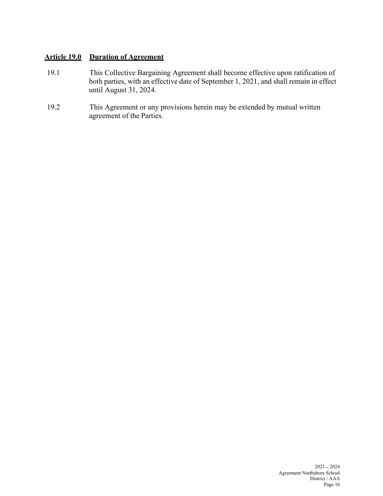# Article 19.0 Duration of Agreement

- 19.1 This Collective Bargaining Agreement shall become effective upon ratification of both parties, with an effective date of September 1, 2021, and shall remain in effect until August 31, 2024.
- 19.2 This Agreement or any provisions herein may be extended by mutual written agreement of the Parties.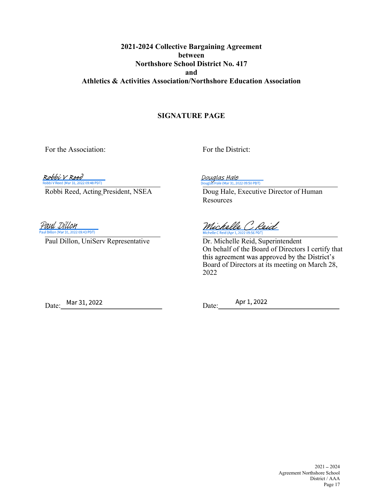# 2021-2024 Collective Bargaining Agreement between Northshore School District No. 417 and Athletics & Activities Association/Northshore Education Association

#### SIGNATURE PAGE

For the Association: For the District:

Robbi V Reed bbi V Reed (Mar 31, 2022 09:48 PDT)

Douglas Hale<br>Douglas Hale (Mar 31, 2022 09:50 PDT)

Robbi Reed, Acting President, NSEA Doug Hale, Executive Director of Human Resources

Paul Dillon ul Dillon (Mar 31, 2022 09:43 PDT)

Michelle C. Reid

Paul Dillon, UniServ Representative Dr. Michelle Reid, Superintendent On behalf of the Board of Directors I certify that this agreement was approved by the District's Board of Directors at its meeting on March 28, 2022

Date: Mar 31, 2022 Date:

Apr 1, 2022

 $2021 - 2024$  Agreement Northshore School District / AAA Page 17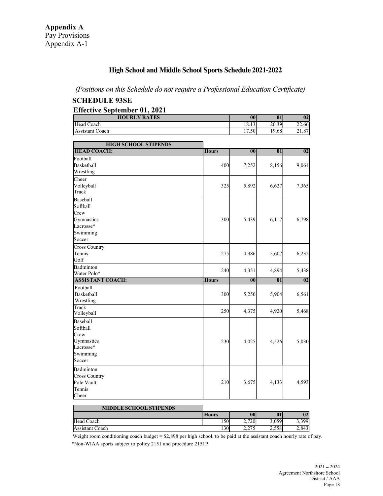# Appendix A<br>
Pay Provisions<br>
Appendix A-1<br> **High School and Middle School Sports Schedule 2021-2022** High School and Middle School Sports Schedule 2021-2022

#### (Positions on this Schedule do not require a Professional Education Certificate)

#### SCHEDULE 93SE

#### Effective September 01, 2021

| <b>HOURLY RATES</b> | 00     | 01    | 02           |
|---------------------|--------|-------|--------------|
| Head<br>Coach       | 18.13  | 20.39 | 22.66        |
| Assistant<br>Coach  | (1.50) | 19.68 | 2107<br>21.0 |

| <b>HIGH SCHOOL STIPENDS</b>                                                                 |              |       |                          |       |  |
|---------------------------------------------------------------------------------------------|--------------|-------|--------------------------|-------|--|
| <b>HEAD COACH:</b>                                                                          | <b>Hours</b> | 00    | $\overline{\mathbf{01}}$ | 02    |  |
| Football                                                                                    |              |       |                          |       |  |
| Basketball                                                                                  | 400          | 7,252 | 8,156                    | 9,064 |  |
| Wrestling                                                                                   |              |       |                          |       |  |
| Cheer                                                                                       |              |       |                          |       |  |
| Volleyball                                                                                  | 325          | 5,892 | 6,627                    | 7,365 |  |
| Track                                                                                       |              |       |                          |       |  |
| Baseball                                                                                    |              |       |                          |       |  |
| Softball                                                                                    |              |       |                          |       |  |
| Crew                                                                                        |              |       |                          |       |  |
| Gymnastics                                                                                  | 300          | 5,439 | 6,117                    | 6,798 |  |
| Lacrosse*                                                                                   |              |       |                          |       |  |
| Swimming                                                                                    |              |       |                          |       |  |
| Soccer                                                                                      |              |       |                          |       |  |
| Cross Country                                                                               |              |       |                          |       |  |
| Tennis                                                                                      | 275          | 4,986 | 5,607                    | 6,232 |  |
| Golf                                                                                        |              |       |                          |       |  |
| Badminton                                                                                   |              |       |                          |       |  |
| Water Polo*                                                                                 | 240          | 4,351 | 4,894                    | 5,438 |  |
|                                                                                             |              |       |                          |       |  |
| <b>ASSISTANT COACH:</b>                                                                     | <b>Hours</b> | 00    | $\overline{\mathbf{01}}$ | 02    |  |
| Football                                                                                    |              |       |                          |       |  |
|                                                                                             |              |       |                          |       |  |
| Basketball                                                                                  | 300          | 5,250 | 5,904                    | 6,561 |  |
| Wrestling<br>Track                                                                          |              |       |                          |       |  |
|                                                                                             | <b>250</b>   | 4,375 | 4,920                    | 5,468 |  |
|                                                                                             |              |       |                          |       |  |
|                                                                                             |              |       |                          |       |  |
|                                                                                             |              |       |                          |       |  |
|                                                                                             |              |       |                          |       |  |
|                                                                                             | 230          | 4,025 | 4,526                    | 5,030 |  |
|                                                                                             |              |       |                          |       |  |
| Volleyball<br>Baseball<br>Softball<br>Crew<br>Gymnastics<br>Lacrosse*<br>Swimming<br>Soccer |              |       |                          |       |  |
|                                                                                             |              |       |                          |       |  |
| Badminton                                                                                   |              |       |                          |       |  |
| <b>Cross Country</b>                                                                        | 210          |       |                          |       |  |
| Pole Vault                                                                                  |              | 3,675 | 4,133                    | 4,593 |  |
| Tennis<br>Cheer                                                                             |              |       |                          |       |  |

| <b>MIDDLE SCHOOL STIPENDS</b> |              |                 |           |       |
|-------------------------------|--------------|-----------------|-----------|-------|
|                               | <b>Hours</b> | 00              | $\bf{01}$ | 02    |
| Head Coach                    | .50I         | 2.720           | 3.059     | 3,399 |
| Assistant Coach               | 130          | .275<br>ا سے وی | 2,558     | 2,843 |

 Weight room conditioning coach budget = \$2,898 per high school, to be paid at the assistant coach hourly rate of pay. \*Non-WIAA sports subject to policy 2151 and procedure 2151P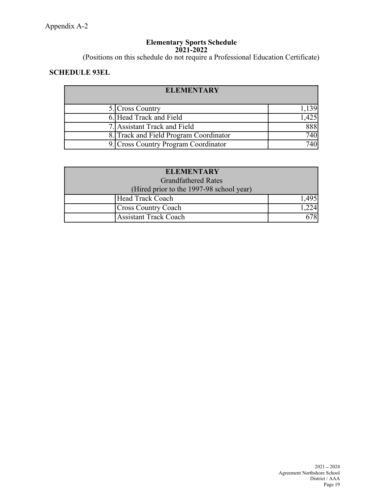#### Elementary Sports Schedule 2021-2022

(Positions on this schedule do not require a Professional Education Certificate)

# SCHEDULE 93EL

| <b>ELEMENTARY</b>                      |      |  |  |  |
|----------------------------------------|------|--|--|--|
| 5. Cross Country                       | .139 |  |  |  |
| 6. Head Track and Field                | ,425 |  |  |  |
| 7. Assistant Track and Field           | 888  |  |  |  |
| 8. Track and Field Program Coordinator | 740  |  |  |  |
| 9. Cross Country Program Coordinator   | 740  |  |  |  |

| <b>ELEMENTARY</b>                        |       |  |  |  |
|------------------------------------------|-------|--|--|--|
| <b>Grandfathered Rates</b>               |       |  |  |  |
| (Hired prior to the 1997-98 school year) |       |  |  |  |
| Head Track Coach                         | 1,495 |  |  |  |
| <b>Cross Country Coach</b>               | ,224' |  |  |  |
| <b>Assistant Track Coach</b>             | 678   |  |  |  |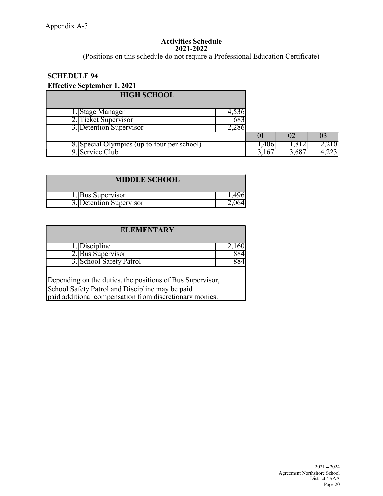#### Activities Schedule 2021-2022

(Positions on this schedule do not require a Professional Education Certificate)

# SCHEDULE 94

# Effective September 1, 2021

| <b>HIGH SCHOOL</b>                          |        |       |      |           |  |
|---------------------------------------------|--------|-------|------|-----------|--|
| .Stage Manager                              | 000.75 |       |      |           |  |
| 2. Ticket Supervisor                        | 683    |       |      |           |  |
| 3. Detention Supervisor                     | Z.286  |       |      |           |  |
|                                             |        | U     | UZ   | UĴ        |  |
| 8. Special Olympics (up to four per school) |        | .406  | .812 | 2,210     |  |
| Service Club                                |        | 3,10' | 68'  | ت کے گہ آ |  |

| <b>MIDDLE SCHOOL</b> |  |
|----------------------|--|
| I .IBus Supervisor   |  |
| Detention Supervisor |  |

| <b>ELEMENTARY</b>                                                                                                                                                       |       |  |  |  |
|-------------------------------------------------------------------------------------------------------------------------------------------------------------------------|-------|--|--|--|
| l.[Discipline]                                                                                                                                                          | 2.160 |  |  |  |
| 2. Bus Supervisor                                                                                                                                                       | 884   |  |  |  |
| 3. School Safety Patrol                                                                                                                                                 | 884   |  |  |  |
| Depending on the duties, the positions of Bus Supervisor,<br>School Safety Patrol and Discipline may be paid<br>paid additional compensation from discretionary monies. |       |  |  |  |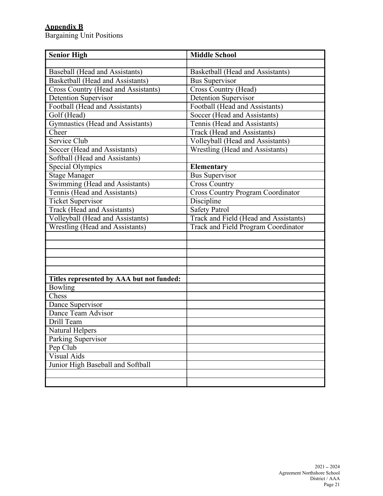# Appendix B

Bargaining Unit Positions

| <b>Senior High</b>                        | <b>Middle School</b>                     |
|-------------------------------------------|------------------------------------------|
|                                           |                                          |
| Baseball (Head and Assistants)            | Basketball (Head and Assistants)         |
| <b>Basketball</b> (Head and Assistants)   | Bus Supervisor                           |
| Cross Country (Head and Assistants)       | <b>Cross Country (Head)</b>              |
| <b>Detention Supervisor</b>               | <b>Detention Supervisor</b>              |
| Football (Head and Assistants)            | Football (Head and Assistants)           |
| Golf (Head)                               | Soccer (Head and Assistants)             |
| Gymnastics (Head and Assistants)          | Tennis (Head and Assistants)             |
| Cheer                                     | Track (Head and Assistants)              |
| Service Club                              | Volleyball (Head and Assistants)         |
| Soccer (Head and Assistants)              | Wrestling (Head and Assistants)          |
| Softball (Head and Assistants)            |                                          |
| Special Olympics                          | Elementary                               |
| <b>Stage Manager</b>                      | <b>Bus Supervisor</b>                    |
| Swimming (Head and Assistants)            | <b>Cross Country</b>                     |
| Tennis (Head and Assistants)              | <b>Cross Country Program Coordinator</b> |
| <b>Ticket Supervisor</b>                  | Discipline                               |
| Track (Head and Assistants)               | <b>Safety Patrol</b>                     |
| Volleyball (Head and Assistants)          | Track and Field (Head and Assistants)    |
| <b>Wrestling (Head and Assistants)</b>    | Track and Field Program Coordinator      |
|                                           |                                          |
|                                           |                                          |
|                                           |                                          |
|                                           |                                          |
|                                           |                                          |
| Titles represented by AAA but not funded: |                                          |
| Bowling                                   |                                          |
| Chess                                     |                                          |
| Dance Supervisor                          |                                          |
| Dance Team Advisor                        |                                          |
| Drill Team                                |                                          |
| Natural Helpers                           |                                          |
| Parking Supervisor                        |                                          |
| Pep Club                                  |                                          |
| Visual Aids                               |                                          |
| Junior High Baseball and Softball         |                                          |
|                                           |                                          |
|                                           |                                          |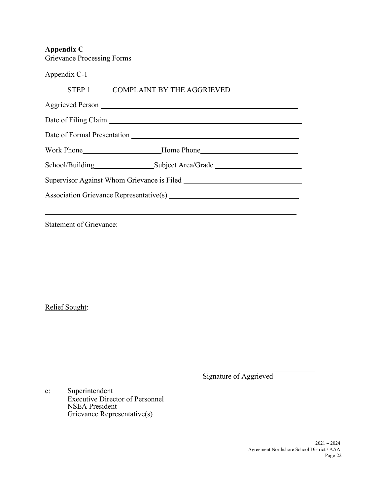Appendix C

| <b>Grievance Processing Forms</b> |                                                                 |
|-----------------------------------|-----------------------------------------------------------------|
| Appendix C-1                      |                                                                 |
|                                   | STEP 1 COMPLAINT BY THE AGGRIEVED                               |
|                                   |                                                                 |
|                                   |                                                                 |
|                                   |                                                                 |
|                                   | Work Phone <b>Market Except Except Except Except</b> Home Phone |
|                                   | School/Building<br>Subject Area/Grade                           |
|                                   |                                                                 |
|                                   |                                                                 |
|                                   |                                                                 |

**Statement of Grievance:** 

Relief Sought:

Signature of Aggrieved

c: Superintendent Executive Director of Personnel NSEA President Grievance Representative(s)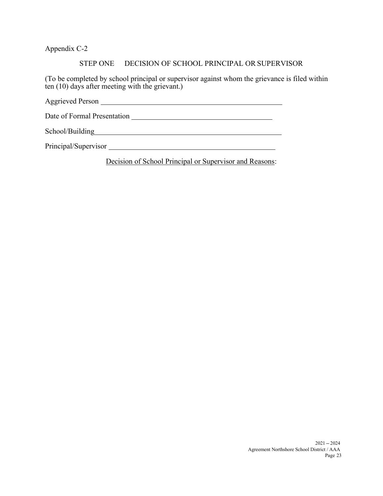Appendix C-2

#### STEP ONE DECISION OF SCHOOL PRINCIPAL OR SUPERVISOR

(To be completed by school principal or supervisor against whom the grievance is filed within ten  $(10)$  days after meeting with the grievant.)

Aggrieved Person

Date of Formal Presentation

School/Building<br>
and the contract of the contract of the contract of the contract of the contract of the contract of the contract of the contract of the contract of the contract of the contract of the contract of the contr

Principal/Supervisor
<u>
and</u>

Decision of School Principal or Supervisor and Reasons: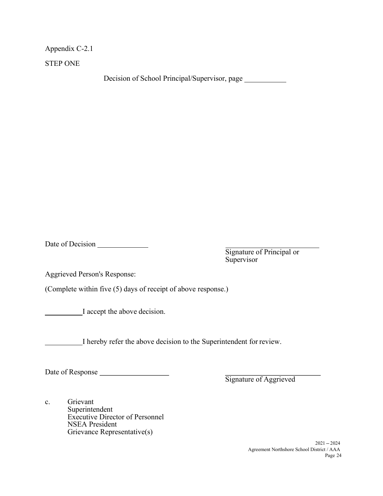Appendix C-2.1

STEP ONE

Decision of School Principal/Supervisor, page

Date of Decision

Signature of Principal or Supervisor

Aggrieved Person's Response:

(Complete within five (5) days of receipt of above response.)

I accept the above decision.

I hereby refer the above decision to the Superintendent for review.

Date of Response

Signature of Aggrieved

c. Grievant Superintendent Executive Director of Personnel NSEA President Grievance Representative(s)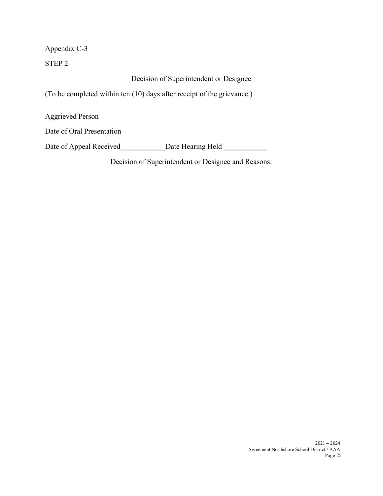Appendix C-3

STEP 2

Decision of Superintendent or Designee

(To be completed within ten (10) days after receipt of the grievance.)

Aggrieved Person

Date of Oral Presentation

Date of Appeal Received Date Hearing Held

Decision of Superintendent or Designee and Reasons: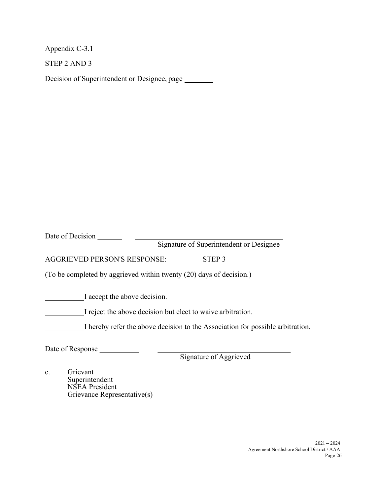Appendix C-3.1

STEP 2 AND 3

Decision of Superintendent or Designee, page

Date of Decision

Signature of Superintendent or Designee

AGGRIEVED PERSON'S RESPONSE: STEP 3

(To be completed by aggrieved within twenty (20) days of decision.)

I accept the above decision.

I reject the above decision but elect to waive arbitration.

I hereby refer the above decision to the Association for possible arbitration.

Date of Response

Signature of Aggrieved

c. Grievant Superintendent NSEA President Grievance Representative(s)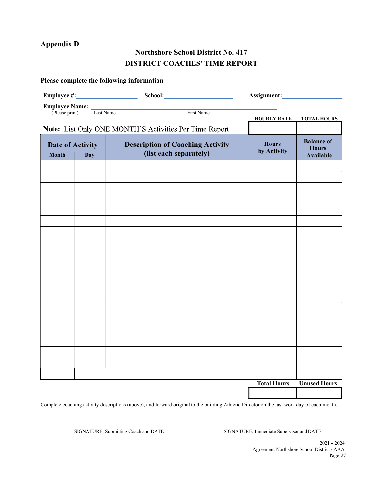# Appendix D

# Northshore School District No. 417 DISTRICT COACHES' TIME REPORT

| <b>Employee Name:</b> Last Name (Please print): |            | First Name                                                        | <b>HOURLY RATE</b>          | <b>TOTAL HOURS</b>                                    |
|-------------------------------------------------|------------|-------------------------------------------------------------------|-----------------------------|-------------------------------------------------------|
|                                                 |            | Note: List Only ONE MONTH'S Activities Per Time Report            |                             |                                                       |
| <b>Date of Activity</b><br><b>Month</b>         | <b>Day</b> | <b>Description of Coaching Activity</b><br>(list each separately) | <b>Hours</b><br>by Activity | <b>Balance of</b><br><b>Hours</b><br><b>Available</b> |
|                                                 |            |                                                                   |                             |                                                       |
|                                                 |            |                                                                   |                             |                                                       |
|                                                 |            |                                                                   |                             |                                                       |
|                                                 |            |                                                                   |                             |                                                       |
|                                                 |            |                                                                   |                             |                                                       |
|                                                 |            |                                                                   |                             |                                                       |
|                                                 |            |                                                                   |                             |                                                       |
|                                                 |            |                                                                   |                             |                                                       |
|                                                 |            |                                                                   |                             |                                                       |
|                                                 |            |                                                                   |                             |                                                       |
|                                                 |            |                                                                   |                             |                                                       |
|                                                 |            |                                                                   |                             |                                                       |
|                                                 |            |                                                                   |                             |                                                       |
|                                                 |            |                                                                   |                             |                                                       |
|                                                 |            |                                                                   |                             |                                                       |
|                                                 |            |                                                                   |                             |                                                       |
|                                                 |            |                                                                   |                             |                                                       |
|                                                 |            |                                                                   |                             |                                                       |
|                                                 |            |                                                                   |                             |                                                       |
|                                                 |            |                                                                   | <b>Total Hours</b>          | <b>Unused Hours</b>                                   |
|                                                 |            |                                                                   |                             |                                                       |

Please complete the following information

Complete coaching activity descriptions (above), and forward original to the building Athletic Director on the last work day of each month.

SIGNATURE, Submitting Coach and DATE SIGNATURE, Immediate Supervisor and DATE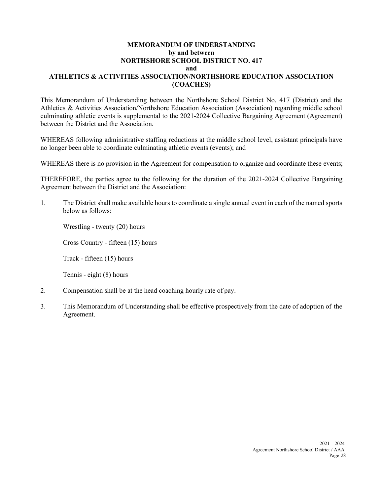#### MEMORANDUM OF UNDERSTANDING by and between NORTHSHORE SCHOOL DISTRICT NO. 417 and ATHLETICS & ACTIVITIES ASSOCIATION/NORTHSHORE EDUCATION ASSOCIATION (COACHES)

This Memorandum of Understanding between the Northshore School District No. 417 (District) and the Athletics & Activities Association/Northshore Education Association (Association) regarding middle school culminating athletic events is supplemental to the 2021-2024 Collective Bargaining Agreement (Agreement) between the District and the Association.

WHEREAS following administrative staffing reductions at the middle school level, assistant principals have no longer been able to coordinate culminating athletic events (events); and

WHEREAS there is no provision in the Agreement for compensation to organize and coordinate these events;

THEREFORE, the parties agree to the following for the duration of the 2021-2024 Collective Bargaining Agreement between the District and the Association:

1. The District shall make available hours to coordinate a single annual event in each of the named sports below as follows:

Wrestling - twenty (20) hours

Cross Country - fifteen (15) hours

Track - fifteen (15) hours

Tennis - eight (8) hours

- 2. Compensation shall be at the head coaching hourly rate of pay.
- 3. This Memorandum of Understanding shall be effective prospectively from the date of adoption of the Agreement.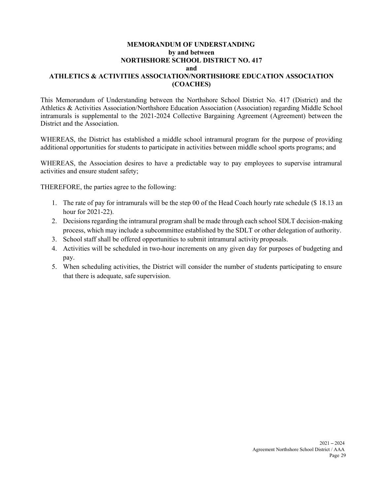#### MEMORANDUM OF UNDERSTANDING by and between NORTHSHORE SCHOOL DISTRICT NO. 417 and ATHLETICS & ACTIVITIES ASSOCIATION/NORTHSHORE EDUCATION ASSOCIATION (COACHES)

This Memorandum of Understanding between the Northshore School District No. 417 (District) and the Athletics & Activities Association/Northshore Education Association (Association) regarding Middle School intramurals is supplemental to the 2021-2024 Collective Bargaining Agreement (Agreement) between the District and the Association.

WHEREAS, the District has established a middle school intramural program for the purpose of providing additional opportunities for students to participate in activities between middle school sports programs; and

WHEREAS, the Association desires to have a predictable way to pay employees to supervise intramural activities and ensure student safety;

THEREFORE, the parties agree to the following:

- 1. The rate of pay for intramurals will be the step 00 of the Head Coach hourly rate schedule (\$ 18.13 an hour for 2021-22).
- 2. Decisions regarding the intramural program shall be made through each school SDLT decision-making process, which may include a subcommittee established by the SDLT or other delegation of authority.
- 3. School staff shall be offered opportunities to submit intramural activity proposals.
- 4. Activities will be scheduled in two-hour increments on any given day for purposes of budgeting and pay.
- 5. When scheduling activities, the District will consider the number of students participating to ensure that there is adequate, safe supervision.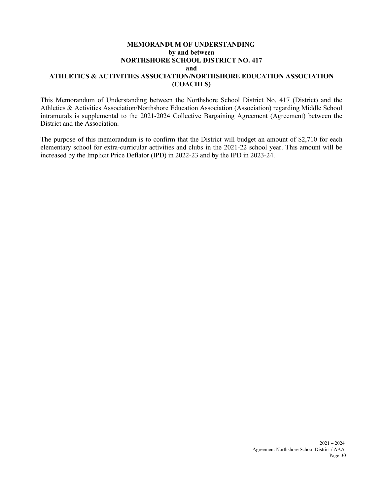#### MEMORANDUM OF UNDERSTANDING by and between NORTHSHORE SCHOOL DISTRICT NO. 417 and ATHLETICS & ACTIVITIES ASSOCIATION/NORTHSHORE EDUCATION ASSOCIATION (COACHES)

This Memorandum of Understanding between the Northshore School District No. 417 (District) and the Athletics & Activities Association/Northshore Education Association (Association) regarding Middle School intramurals is supplemental to the 2021-2024 Collective Bargaining Agreement (Agreement) between the District and the Association.

The purpose of this memorandum is to confirm that the District will budget an amount of \$2,710 for each elementary school for extra-curricular activities and clubs in the 2021-22 school year. This amount will be increased by the Implicit Price Deflator (IPD) in 2022-23 and by the IPD in 2023-24.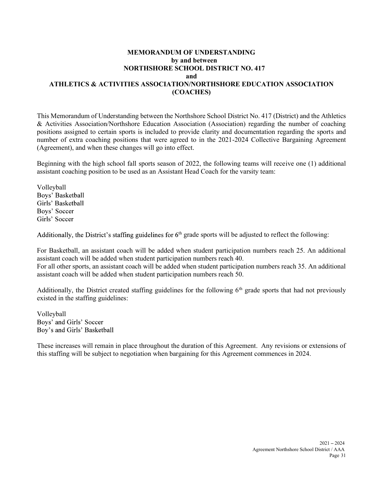#### MEMORANDUM OF UNDERSTANDING by and between NORTHSHORE SCHOOL DISTRICT NO. 417 and ATHLETICS & ACTIVITIES ASSOCIATION/NORTHSHORE EDUCATION ASSOCIATION (COACHES)

This Memorandum of Understanding between the Northshore School District No. 417 (District) and the Athletics & Activities Association/Northshore Education Association (Association) regarding the number of coaching positions assigned to certain sports is included to provide clarity and documentation regarding the sports and number of extra coaching positions that were agreed to in the 2021-2024 Collective Bargaining Agreement (Agreement), and when these changes will go into effect.

Beginning with the high school fall sports season of 2022, the following teams will receive one (1) additional assistant coaching position to be used as an Assistant Head Coach for the varsity team:

Volleyball Boys' Basketball Girls' Basketball Boys' Soccer Girls' Soccer

Additionally, the District's staffing guidelines for  $6<sup>th</sup>$  grade sports will be adjusted to reflect the following:

For Basketball, an assistant coach will be added when student participation numbers reach 25. An additional assistant coach will be added when student participation numbers reach 40. For all other sports, an assistant coach will be added when student participation numbers reach 35. An additional assistant coach will be added when student participation numbers reach 50.

Additionally, the District created staffing guidelines for the following  $6<sup>th</sup>$  grade sports that had not previously existed in the staffing guidelines:

Volleyball Boys' and Girls' Soccer Boy's and Girls' Basketball

These increases will remain in place throughout the duration of this Agreement. Any revisions or extensions of this staffing will be subject to negotiation when bargaining for this Agreement commences in 2024.